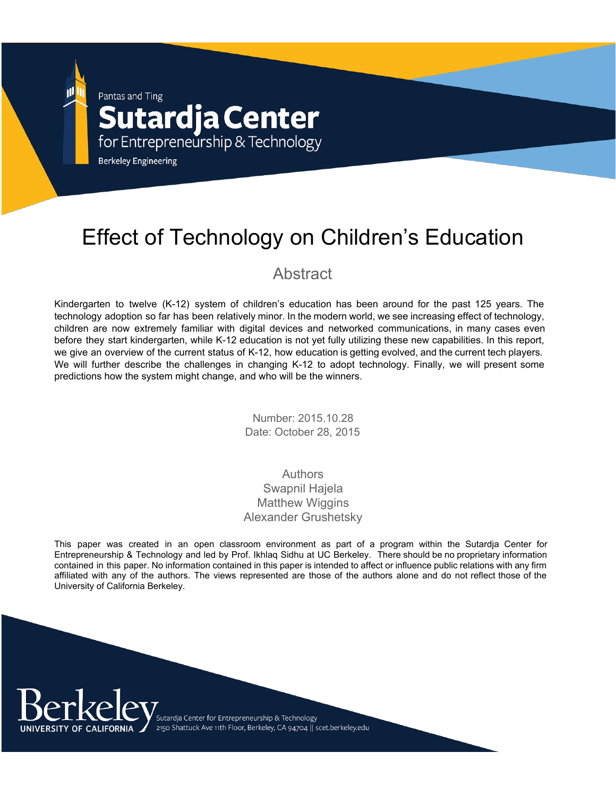Pantas and Ting

# **Sutardja Center**

for Entrepreneurship & Technology

**Berkeley Engineering** 

## Effect of Technology on Children's Education

#### Abstract

Kindergarten to twelve (K-12) system of children's education has been around for the past 125 years. The technology adoption so far has been relatively minor. In the modern world, we see increasing effect of technology, children are now extremely familiar with digital devices and networked communications, in many cases even before they start kindergarten, while K12 education is not yet fully utilizing these new capabilities. In this report, we give an overview of the current status of K-12, how education is getting evolved, and the current tech players. We will further describe the challenges in changing K-12 to adopt technology. Finally, we will present some predictions how the system might change, and who will be the winners.

> Number: 2015.10.28 Date: October 28, 2015

#### Authors Swapnil Hajela Matthew Wiggins Alexander Grushetsky

This paper was created in an open classroom environment as part of a program within the Sutardja Center for Entrepreneurship & Technology and led by Prof. Ikhlaq Sidhu at UC Berkeley. There should be no proprietary information contained in this paper. No information contained in this paper is intended to affect or influence public relations with any firm affiliated with any of the authors. The views represented are those of the authors alone and do not reflect those of the University of California Berkeley.

> .<br>Sutardja Center for Entrepreneurship & Technology 2150 Shattuck Ave 11th Floor, Berkeley, CA 94704 || scet.berkeley.edu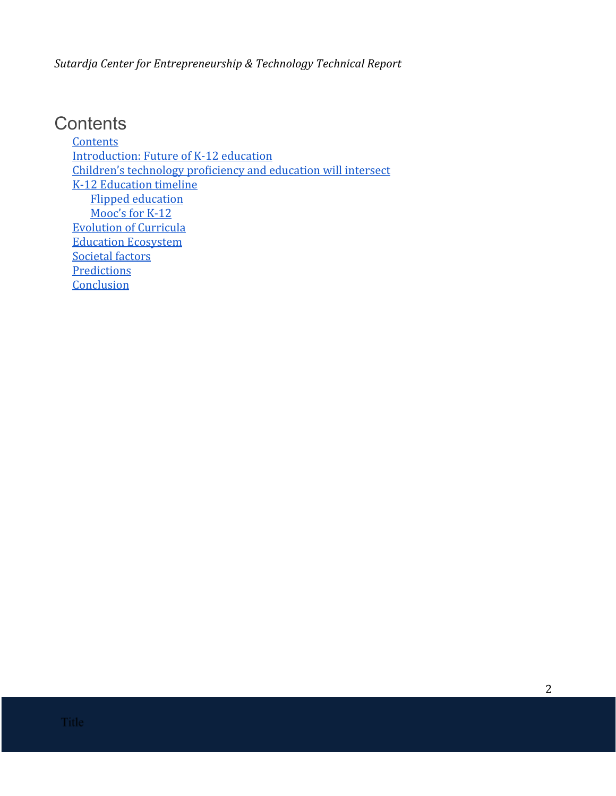### <span id="page-1-0"></span>**Contents**

**[Contents](#page-1-0)** [Introduction:](#page-2-0) Future of K-12 education Children's technology [proficiency](#page-2-1) and education will intersect K-12 [Education](#page-3-0) timeline Flipped [education](#page-3-1) [Mooc's](#page-3-2) for K-12 [Evolution](#page-4-0) of Curricula Education [Ecosystem](#page-6-0) [Societal](#page-8-0) factors **[Predictions](#page-9-0) [Conclusion](#page-10-0)**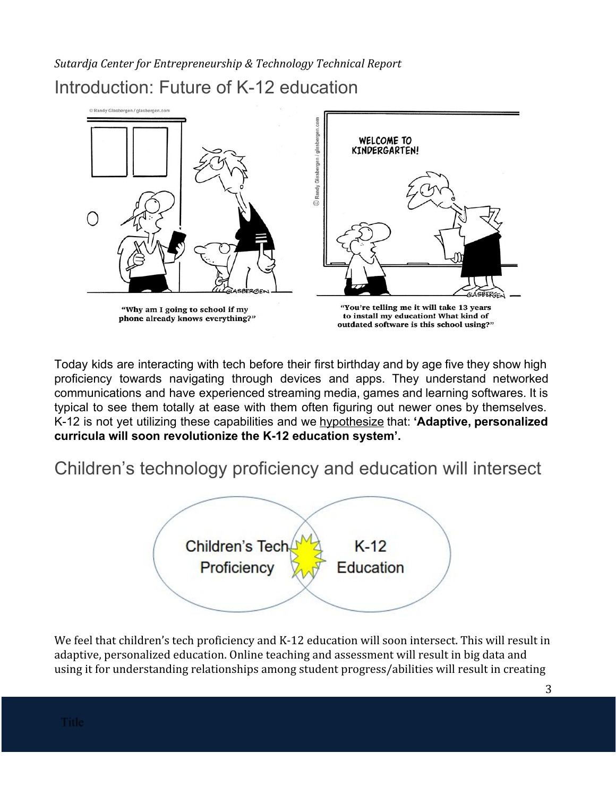<span id="page-2-0"></span>*Sutardja Center for Entrepreneurship & Technology Technical Report* Introduction: Future of K-12 education



Today kids are interacting with tech before their first birthday and by age five they show high proficiency towards navigating through devices and apps. They understand networked communications and have experienced streaming media, games and learning softwares. It is typical to see them totally at ease with them often figuring out newer ones by themselves. K12 is not yet utilizing these capabilities and we hypothesize that: **'Adaptive, personalized curricula will soon revolutionize the K12 education system'.**

<span id="page-2-1"></span>Children's technology proficiency and education will intersect



We feel that children's tech proficiency and K-12 education will soon intersect. This will result in adaptive, personalized education. Online teaching and assessment will result in big data and using it for understanding relationships among student progress/abilities will result in creating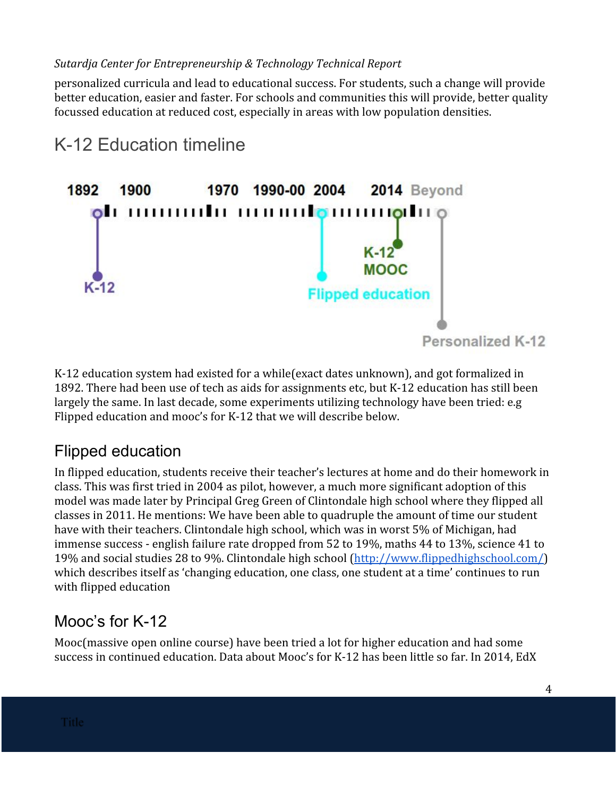personalized curricula and lead to educational success. For students, such a change will provide better education, easier and faster. For schools and communities this will provide, better quality focussed education at reduced cost, especially in areas with low population densities.

<span id="page-3-0"></span>

K-12 education system had existed for a while(exact dates unknown), and got formalized in 1892. There had been use of tech as aids for assignments etc, but K-12 education has still been largely the same. In last decade, some experiments utilizing technology have been tried: e.g Flipped education and mooc's for K-12 that we will describe below.

### <span id="page-3-1"></span>Flipped education

In flipped education, students receive their teacher's lectures at home and do their homework in class. This was first tried in 2004 as pilot, however, a much more significant adoption of this model was made later by Principal Greg Green of Clintondale high school where they flipped all classes in 2011. He mentions: We have been able to quadruple the amount of time our student have with their teachers. Clintondale high school, which was in worst 5% of Michigan, had immense success - english failure rate dropped from 52 to 19%, maths 44 to 13%, science 41 to 19% and social studies 28 to 9%. Clintondale high school [\(http://www.flippedhighschool.com/\)](http://www.flippedhighschool.com/) which describes itself as 'changing education, one class, one student at a time' continues to run with flipped education

### <span id="page-3-2"></span>Mooc's for K-12

Mooc(massive open online course) have been tried a lot for higher education and had some success in continued education. Data about Mooc's for K-12 has been little so far. In 2014, EdX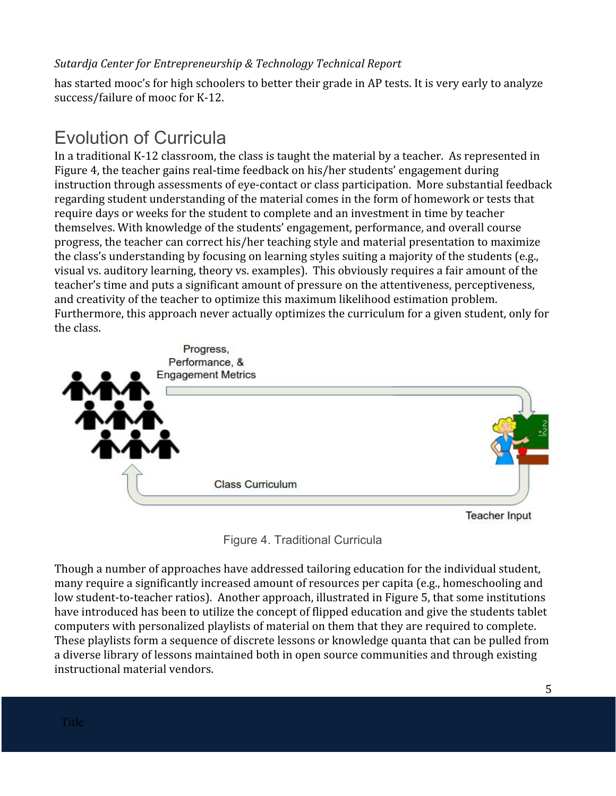has started mooc's for high schoolers to better their grade in AP tests. It is very early to analyze success/failure of mooc for K-12.

### <span id="page-4-0"></span>Evolution of Curricula

In a traditional K-12 classroom, the class is taught the material by a teacher. As represented in Figure 4, the teacher gains real-time feedback on his/her students' engagement during instruction through assessments of eye-contact or class participation. More substantial feedback regarding student understanding of the material comes in the form of homework or tests that require days or weeks for the student to complete and an investment in time by teacher themselves. With knowledge of the students' engagement, performance, and overall course progress, the teacher can correct his/her teaching style and material presentation to maximize the class's understanding by focusing on learning styles suiting a majority of the students (e.g., visual vs. auditory learning, theory vs. examples). This obviously requires a fair amount of the teacher's time and puts a significant amount of pressure on the attentiveness, perceptiveness, and creativity of the teacher to optimize this maximum likelihood estimation problem. Furthermore, this approach never actually optimizes the curriculum for a given student, only for the class.



**Teacher Input** 



Though a number of approaches have addressed tailoring education for the individual student, many require a significantly increased amount of resources per capita (e.g., homeschooling and low student-to-teacher ratios). Another approach, illustrated in Figure 5, that some institutions have introduced has been to utilize the concept of flipped education and give the students tablet computers with personalized playlists of material on them that they are required to complete. These playlists form a sequence of discrete lessons or knowledge quanta that can be pulled from a diverse library of lessons maintained both in open source communities and through existing instructional material vendors.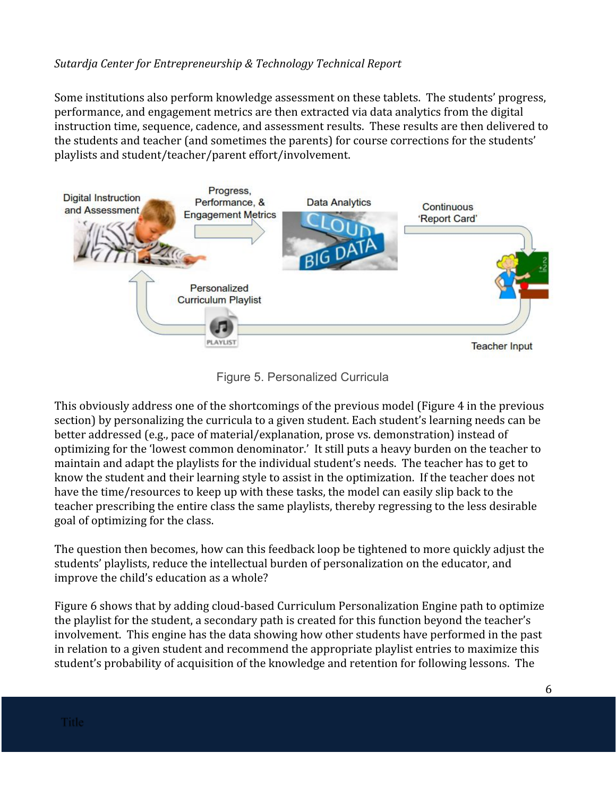Some institutions also perform knowledge assessment on these tablets. The students' progress, performance, and engagement metrics are then extracted via data analytics from the digital instruction time, sequence, cadence, and assessment results. These results are then delivered to the students and teacher (and sometimes the parents) for course corrections for the students' playlists and student/teacher/parent effort/involvement.



Figure 5. Personalized Curricula

This obviously address one of the shortcomings of the previous model (Figure 4 in the previous section) by personalizing the curricula to a given student. Each student's learning needs can be better addressed (e.g., pace of material/explanation, prose vs. demonstration) instead of optimizing for the 'lowest common denominator.' It still puts a heavy burden on the teacher to maintain and adapt the playlists for the individual student's needs. The teacher has to get to know the student and their learning style to assist in the optimization. If the teacher does not have the time/resources to keep up with these tasks, the model can easily slip back to the teacher prescribing the entire class the same playlists, thereby regressing to the less desirable goal of optimizing for the class.

The question then becomes, how can this feedback loop be tightened to more quickly adjust the students' playlists, reduce the intellectual burden of personalization on the educator, and improve the child's education as a whole?

Figure 6 shows that by adding cloud-based Curriculum Personalization Engine path to optimize the playlist for the student, a secondary path is created for this function beyond the teacher's involvement. This engine has the data showing how other students have performed in the past in relation to a given student and recommend the appropriate playlist entries to maximize this student's probability of acquisition of the knowledge and retention for following lessons. The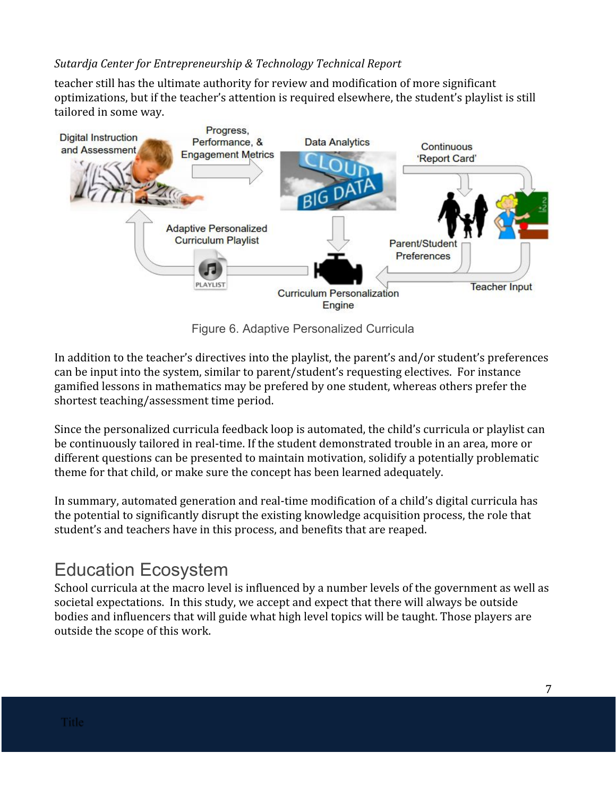teacher still has the ultimate authority for review and modification of more significant optimizations, but if the teacher's attention is required elsewhere, the student's playlist is still tailored in some way.



Figure 6. Adaptive Personalized Curricula

In addition to the teacher's directives into the playlist, the parent's and/or student's preferences can be input into the system, similar to parent/student's requesting electives. For instance gamified lessons in mathematics may be prefered by one student, whereas others prefer the shortest teaching/assessment time period.

Since the personalized curricula feedback loop is automated, the child's curricula or playlist can be continuously tailored in real-time. If the student demonstrated trouble in an area, more or different questions can be presented to maintain motivation, solidify a potentially problematic theme for that child, or make sure the concept has been learned adequately.

In summary, automated generation and real-time modification of a child's digital curricula has the potential to significantly disrupt the existing knowledge acquisition process, the role that student's and teachers have in this process, and benefits that are reaped.

### <span id="page-6-0"></span>Education Ecosystem

School curricula at the macro level is influenced by a number levels of the government as well as societal expectations. In this study, we accept and expect that there will always be outside bodies and influencers that will guide what high level topics will be taught. Those players are outside the scope of this work.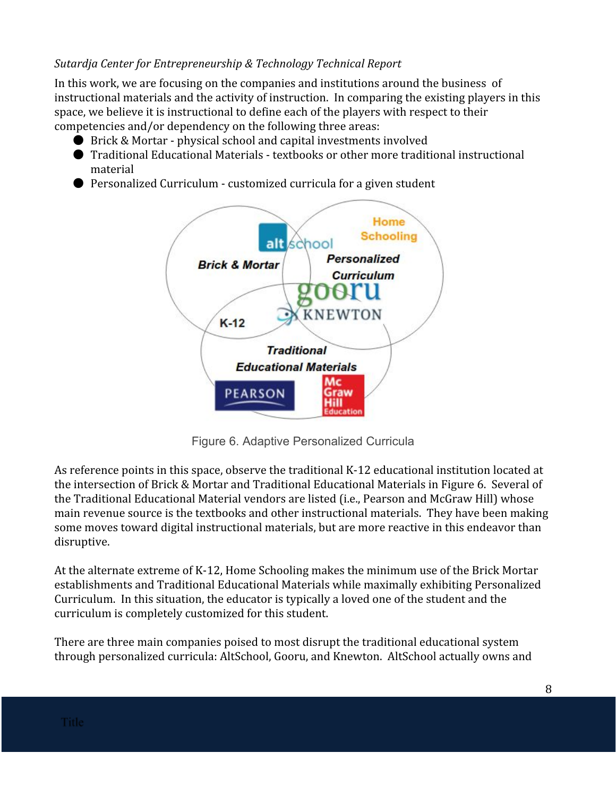In this work, we are focusing on the companies and institutions around the business of instructional materials and the activity of instruction. In comparing the existing players in this space, we believe it is instructional to define each of the players with respect to their competencies and/or dependency on the following three areas:

- Brick & Mortar physical school and capital investments involved
- Traditional Educational Materials textbooks or other more traditional instructional material
- Personalized Curriculum customized curricula for a given student



Figure 6. Adaptive Personalized Curricula

As reference points in this space, observe the traditional K-12 educational institution located at the intersection of Brick & Mortar and Traditional Educational Materials in Figure 6. Several of the Traditional Educational Material vendors are listed (i.e., Pearson and McGraw Hill) whose main revenue source is the textbooks and other instructional materials. They have been making some moves toward digital instructional materials, but are more reactive in this endeavor than disruptive.

At the alternate extreme of K-12, Home Schooling makes the minimum use of the Brick Mortar establishments and Traditional Educational Materials while maximally exhibiting Personalized Curriculum. In this situation, the educator is typically a loved one of the student and the curriculum is completely customized for this student.

There are three main companies poised to most disrupt the traditional educational system through personalized curricula: AltSchool, Gooru, and Knewton. AltSchool actually owns and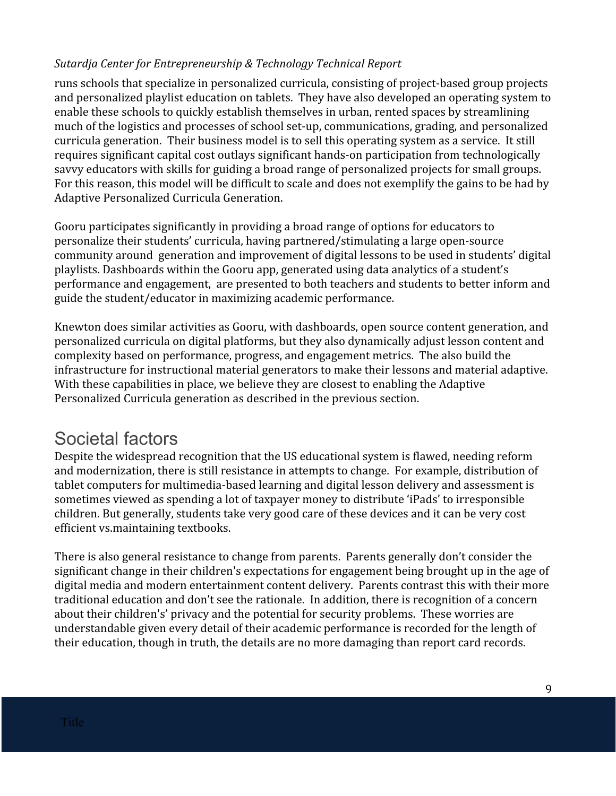runs schools that specialize in personalized curricula, consisting of project-based group projects and personalized playlist education on tablets. They have also developed an operating system to enable these schools to quickly establish themselves in urban, rented spaces by streamlining much of the logistics and processes of school set-up, communications, grading, and personalized curricula generation. Their business model is to sell this operating system as a service. It still requires significant capital cost outlays significant hands-on participation from technologically savvy educators with skills for guiding a broad range of personalized projects for small groups. For this reason, this model will be difficult to scale and does not exemplify the gains to be had by Adaptive Personalized Curricula Generation.

Gooru participates significantly in providing a broad range of options for educators to personalize their students' curricula, having partnered/stimulating a large open-source community around generation and improvement of digital lessons to be used in students' digital playlists. Dashboards within the Gooru app, generated using data analytics of a student's performance and engagement, are presented to both teachers and students to better inform and guide the student/educator in maximizing academic performance.

Knewton does similar activities as Gooru, with dashboards, open source content generation, and personalized curricula on digital platforms, but they also dynamically adjust lesson content and complexity based on performance, progress, and engagement metrics. The also build the infrastructure for instructional material generators to make their lessons and material adaptive. With these capabilities in place, we believe they are closest to enabling the Adaptive Personalized Curricula generation as described in the previous section.

### <span id="page-8-0"></span>Societal factors

Despite the widespread recognition that the US educational system is flawed, needing reform and modernization, there is still resistance in attempts to change. For example, distribution of tablet computers for multimedia-based learning and digital lesson delivery and assessment is sometimes viewed as spending a lot of taxpayer money to distribute 'iPads' to irresponsible children. But generally, students take very good care of these devices and it can be very cost efficient vs.maintaining textbooks.

There is also general resistance to change from parents. Parents generally don't consider the significant change in their children's expectations for engagement being brought up in the age of digital media and modern entertainment content delivery. Parents contrast this with their more traditional education and don't see the rationale. In addition, there is recognition of a concern about their children's' privacy and the potential for security problems. These worries are understandable given every detail of their academic performance is recorded for the length of their education, though in truth, the details are no more damaging than report card records.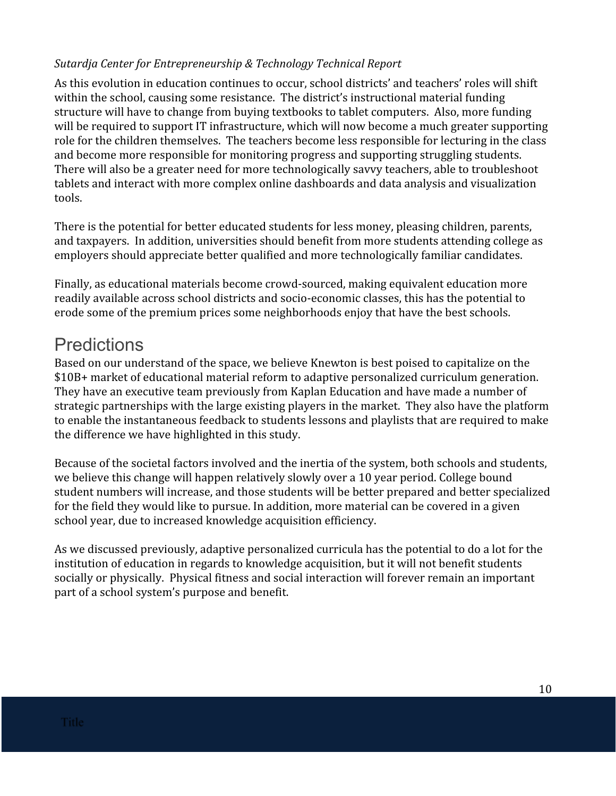As this evolution in education continues to occur, school districts' and teachers' roles will shift within the school, causing some resistance. The district's instructional material funding structure will have to change from buying textbooks to tablet computers. Also, more funding will be required to support IT infrastructure, which will now become a much greater supporting role for the children themselves. The teachers become less responsible for lecturing in the class and become more responsible for monitoring progress and supporting struggling students. There will also be a greater need for more technologically savvy teachers, able to troubleshoot tablets and interact with more complex online dashboards and data analysis and visualization tools.

There is the potential for better educated students for less money, pleasing children, parents, and taxpayers. In addition, universities should benefit from more students attending college as employers should appreciate better qualified and more technologically familiar candidates.

Finally, as educational materials become crowd-sourced, making equivalent education more readily available across school districts and socio-economic classes, this has the potential to erode some of the premium prices some neighborhoods enjoy that have the best schools.

### <span id="page-9-0"></span>**Predictions**

Based on our understand of the space, we believe Knewton is best poised to capitalize on the \$10B+ market of educational material reform to adaptive personalized curriculum generation. They have an executive team previously from Kaplan Education and have made a number of strategic partnerships with the large existing players in the market. They also have the platform to enable the instantaneous feedback to students lessons and playlists that are required to make the difference we have highlighted in this study.

Because of the societal factors involved and the inertia of the system, both schools and students, we believe this change will happen relatively slowly over a 10 year period. College bound student numbers will increase, and those students will be better prepared and better specialized for the field they would like to pursue. In addition, more material can be covered in a given school year, due to increased knowledge acquisition efficiency.

As we discussed previously, adaptive personalized curricula has the potential to do a lot for the institution of education in regards to knowledge acquisition, but it will not benefit students socially or physically. Physical fitness and social interaction will forever remain an important part of a school system's purpose and benefit.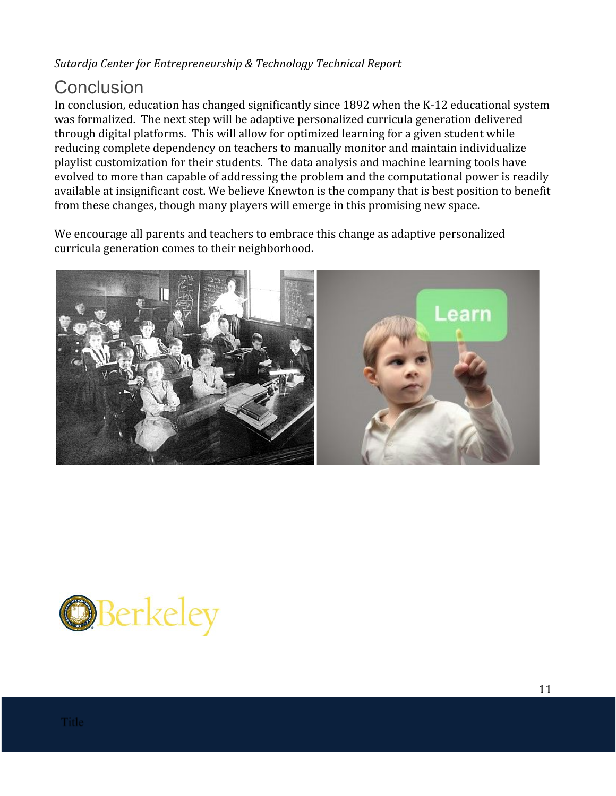### <span id="page-10-0"></span>**Conclusion**

In conclusion, education has changed significantly since 1892 when the K-12 educational system was formalized. The next step will be adaptive personalized curricula generation delivered through digital platforms. This will allow for optimized learning for a given student while reducing complete dependency on teachers to manually monitor and maintain individualize playlist customization for their students. The data analysis and machine learning tools have evolved to more than capable of addressing the problem and the computational power is readily available at insignificant cost. We believe Knewton is the company that is best position to benefit from these changes, though many players will emerge in this promising new space.

We encourage all parents and teachers to embrace this change as adaptive personalized curricula generation comes to their neighborhood.